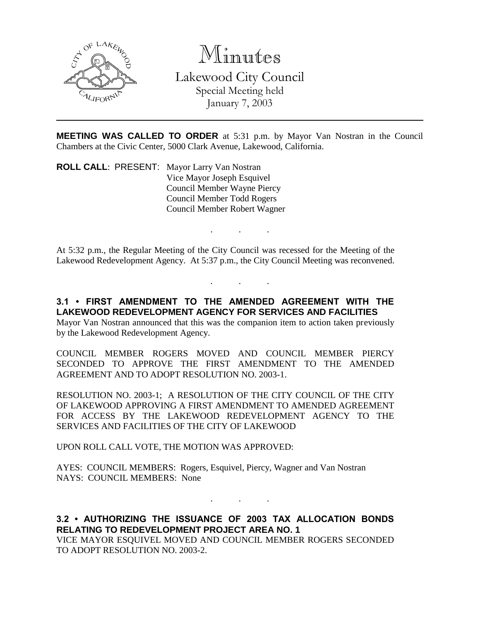

Minutes

Lakewood City Council Special Meeting held

January 7, 2003

**MEETING WAS CALLED TO ORDER** at 5:31 p.m. by Mayor Van Nostran in the Council Chambers at the Civic Center, 5000 Clark Avenue, Lakewood, California.

. . .

. . .

**ROLL CALL**: PRESENT: Mayor Larry Van Nostran Vice Mayor Joseph Esquivel Council Member Wayne Piercy Council Member Todd Rogers Council Member Robert Wagner

At 5:32 p.m., the Regular Meeting of the City Council was recessed for the Meeting of the Lakewood Redevelopment Agency. At 5:37 p.m., the City Council Meeting was reconvened.

**3.1 • FIRST AMENDMENT TO THE AMENDED AGREEMENT WITH THE LAKEWOOD REDEVELOPMENT AGENCY FOR SERVICES AND FACILITIES**

Mayor Van Nostran announced that this was the companion item to action taken previously by the Lakewood Redevelopment Agency.

COUNCIL MEMBER ROGERS MOVED AND COUNCIL MEMBER PIERCY SECONDED TO APPROVE THE FIRST AMENDMENT TO THE AMENDED AGREEMENT AND TO ADOPT RESOLUTION NO. 2003-1.

RESOLUTION NO. 2003-1; A RESOLUTION OF THE CITY COUNCIL OF THE CITY OF LAKEWOOD APPROVING A FIRST AMENDMENT TO AMENDED AGREEMENT FOR ACCESS BY THE LAKEWOOD REDEVELOPMENT AGENCY TO THE SERVICES AND FACILITIES OF THE CITY OF LAKEWOOD

UPON ROLL CALL VOTE, THE MOTION WAS APPROVED:

AYES: COUNCIL MEMBERS: Rogers, Esquivel, Piercy, Wagner and Van Nostran NAYS: COUNCIL MEMBERS: None

**3.2 • AUTHORIZING THE ISSUANCE OF 2003 TAX ALLOCATION BONDS RELATING TO REDEVELOPMENT PROJECT AREA NO. 1** VICE MAYOR ESQUIVEL MOVED AND COUNCIL MEMBER ROGERS SECONDED

. . .

TO ADOPT RESOLUTION NO. 2003-2.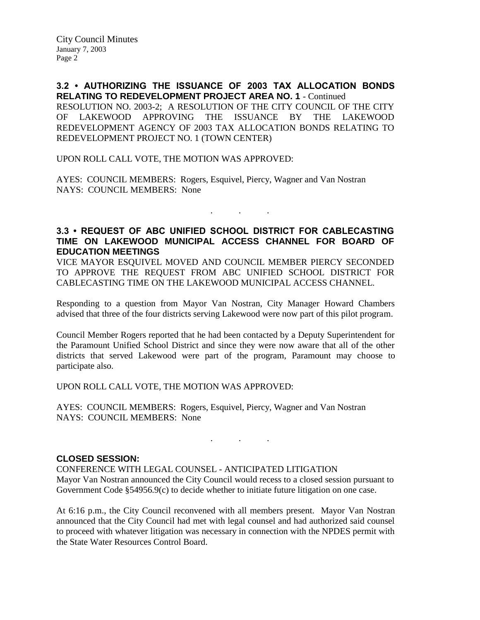**3.2 • AUTHORIZING THE ISSUANCE OF 2003 TAX ALLOCATION BONDS RELATING TO REDEVELOPMENT PROJECT AREA NO. 1** - Continued RESOLUTION NO. 2003-2; A RESOLUTION OF THE CITY COUNCIL OF THE CITY OF LAKEWOOD APPROVING THE ISSUANCE BY THE LAKEWOOD REDEVELOPMENT AGENCY OF 2003 TAX ALLOCATION BONDS RELATING TO REDEVELOPMENT PROJECT NO. 1 (TOWN CENTER)

UPON ROLL CALL VOTE, THE MOTION WAS APPROVED:

AYES: COUNCIL MEMBERS: Rogers, Esquivel, Piercy, Wagner and Van Nostran NAYS: COUNCIL MEMBERS: None

## **3.3 • REQUEST OF ABC UNIFIED SCHOOL DISTRICT FOR CABLECASTING TIME ON LAKEWOOD MUNICIPAL ACCESS CHANNEL FOR BOARD OF EDUCATION MEETINGS**

. . .

VICE MAYOR ESQUIVEL MOVED AND COUNCIL MEMBER PIERCY SECONDED TO APPROVE THE REQUEST FROM ABC UNIFIED SCHOOL DISTRICT FOR CABLECASTING TIME ON THE LAKEWOOD MUNICIPAL ACCESS CHANNEL.

Responding to a question from Mayor Van Nostran, City Manager Howard Chambers advised that three of the four districts serving Lakewood were now part of this pilot program.

Council Member Rogers reported that he had been contacted by a Deputy Superintendent for the Paramount Unified School District and since they were now aware that all of the other districts that served Lakewood were part of the program, Paramount may choose to participate also.

UPON ROLL CALL VOTE, THE MOTION WAS APPROVED:

AYES: COUNCIL MEMBERS: Rogers, Esquivel, Piercy, Wagner and Van Nostran NAYS: COUNCIL MEMBERS: None

## **CLOSED SESSION:**

CONFERENCE WITH LEGAL COUNSEL - ANTICIPATED LITIGATION Mayor Van Nostran announced the City Council would recess to a closed session pursuant to Government Code §54956.9(c) to decide whether to initiate future litigation on one case.

 $\mathbf{r}$  .  $\mathbf{r}$  ,  $\mathbf{r}$  ,  $\mathbf{r}$  ,  $\mathbf{r}$  ,  $\mathbf{r}$  ,  $\mathbf{r}$  ,

At 6:16 p.m., the City Council reconvened with all members present. Mayor Van Nostran announced that the City Council had met with legal counsel and had authorized said counsel to proceed with whatever litigation was necessary in connection with the NPDES permit with the State Water Resources Control Board.